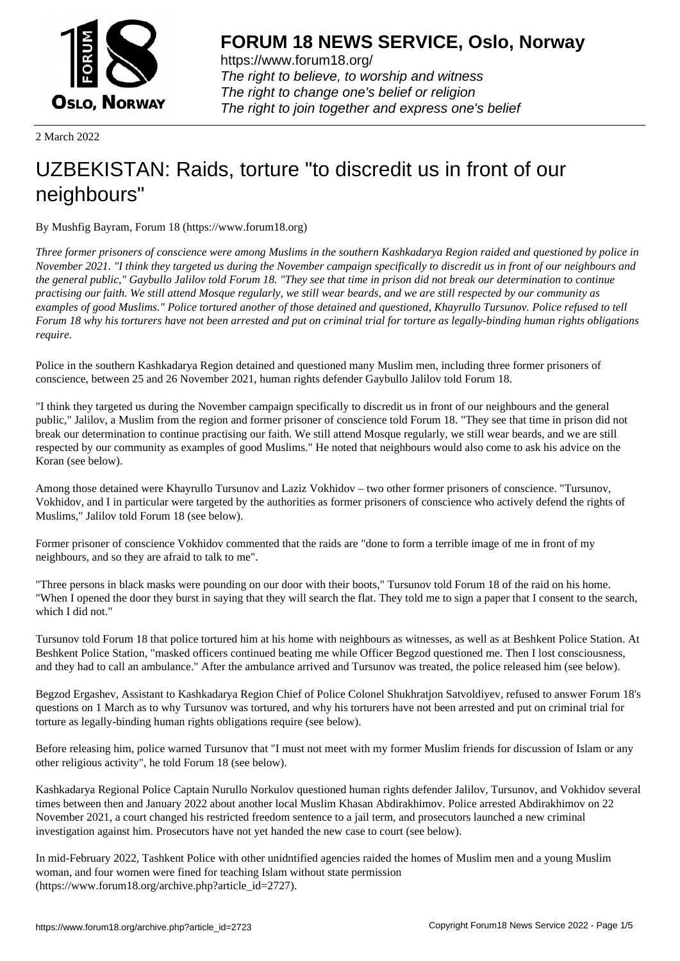

https://www.forum18.org/ The right to believe, to worship and witness The right to change one's belief or religion [The right to join together a](https://www.forum18.org/)nd express one's belief

2 March 2022

## [UZBEKISTAN:](https://www.forum18.org) Raids, torture "to discredit us in front of our neighbours"

By Mushfig Bayram, Forum 18 (https://www.forum18.org)

*Three former prisoners of conscience were among Muslims in the southern Kashkadarya Region raided and questioned by police in November 2021. "I think they targeted us during the November campaign specifically to discredit us in front of our neighbours and the general public," Gaybullo Jalilov told Forum 18. "They see that time in prison did not break our determination to continue practising our faith. We still attend Mosque regularly, we still wear beards, and we are still respected by our community as examples of good Muslims." Police tortured another of those detained and questioned, Khayrullo Tursunov. Police refused to tell Forum 18 why his torturers have not been arrested and put on criminal trial for torture as legally-binding human rights obligations require.*

Police in the southern Kashkadarya Region detained and questioned many Muslim men, including three former prisoners of conscience, between 25 and 26 November 2021, human rights defender Gaybullo Jalilov told Forum 18.

"I think they targeted us during the November campaign specifically to discredit us in front of our neighbours and the general public," Jalilov, a Muslim from the region and former prisoner of conscience told Forum 18. "They see that time in prison did not break our determination to continue practising our faith. We still attend Mosque regularly, we still wear beards, and we are still respected by our community as examples of good Muslims." He noted that neighbours would also come to ask his advice on the Koran (see below).

Among those detained were Khayrullo Tursunov and Laziz Vokhidov – two other former prisoners of conscience. "Tursunov, Vokhidov, and I in particular were targeted by the authorities as former prisoners of conscience who actively defend the rights of Muslims," Jalilov told Forum 18 (see below).

Former prisoner of conscience Vokhidov commented that the raids are "done to form a terrible image of me in front of my neighbours, and so they are afraid to talk to me".

"Three persons in black masks were pounding on our door with their boots," Tursunov told Forum 18 of the raid on his home. "When I opened the door they burst in saying that they will search the flat. They told me to sign a paper that I consent to the search, which I did not."

Tursunov told Forum 18 that police tortured him at his home with neighbours as witnesses, as well as at Beshkent Police Station. At Beshkent Police Station, "masked officers continued beating me while Officer Begzod questioned me. Then I lost consciousness, and they had to call an ambulance." After the ambulance arrived and Tursunov was treated, the police released him (see below).

Begzod Ergashev, Assistant to Kashkadarya Region Chief of Police Colonel Shukhratjon Satvoldiyev, refused to answer Forum 18's questions on 1 March as to why Tursunov was tortured, and why his torturers have not been arrested and put on criminal trial for torture as legally-binding human rights obligations require (see below).

Before releasing him, police warned Tursunov that "I must not meet with my former Muslim friends for discussion of Islam or any other religious activity", he told Forum 18 (see below).

Kashkadarya Regional Police Captain Nurullo Norkulov questioned human rights defender Jalilov, Tursunov, and Vokhidov several times between then and January 2022 about another local Muslim Khasan Abdirakhimov. Police arrested Abdirakhimov on 22 November 2021, a court changed his restricted freedom sentence to a jail term, and prosecutors launched a new criminal investigation against him. Prosecutors have not yet handed the new case to court (see below).

In mid-February 2022, Tashkent Police with other unidntified agencies raided the homes of Muslim men and a young Muslim woman, and four women were fined for teaching Islam without state permission (https://www.forum18.org/archive.php?article\_id=2727).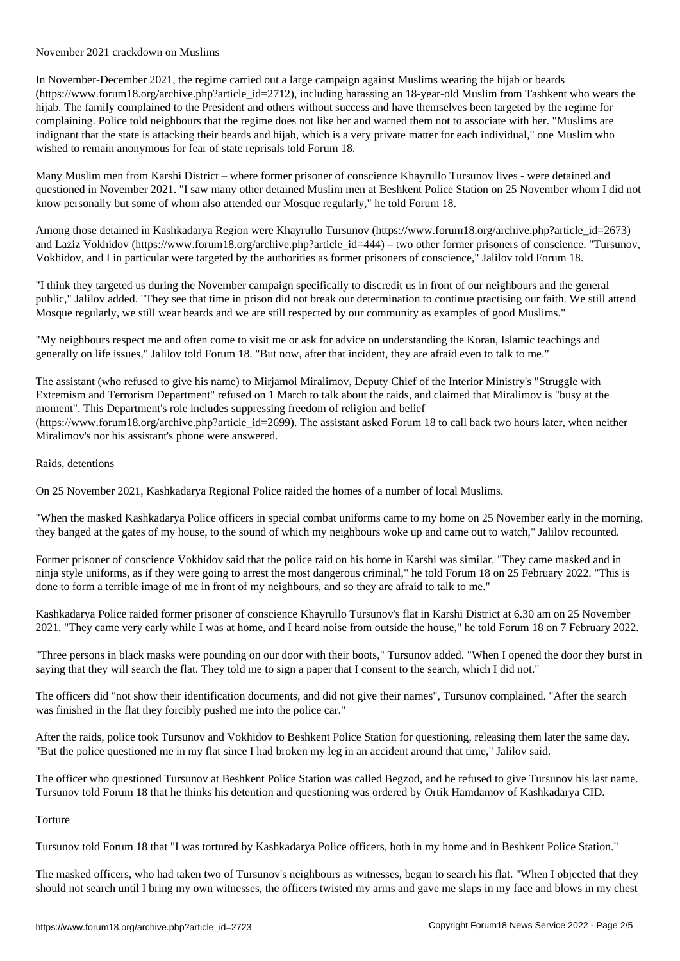In November-December 2021, the regime carried out a large campaign against Muslims wearing the hijab or beards (https://www.forum18.org/archive.php?article\_id=2712), including harassing an 18-year-old Muslim from Tashkent who wears the hijab. The family complained to the President and others without success and have themselves been targeted by the regime for complaining. Police told neighbours that the regime does not like her and warned them not to associate with her. "Muslims are indignant that the state is attacking their beards and hijab, which is a very private matter for each individual," one Muslim who wished to remain anonymous for fear of state reprisals told Forum 18.

Many Muslim men from Karshi District – where former prisoner of conscience Khayrullo Tursunov lives - were detained and questioned in November 2021. "I saw many other detained Muslim men at Beshkent Police Station on 25 November whom I did not know personally but some of whom also attended our Mosque regularly," he told Forum 18.

Among those detained in Kashkadarya Region were Khayrullo Tursunov (https://www.forum18.org/archive.php?article\_id=2673) and Laziz Vokhidov (https://www.forum18.org/archive.php?article\_id=444) – two other former prisoners of conscience. "Tursunov, Vokhidov, and I in particular were targeted by the authorities as former prisoners of conscience," Jalilov told Forum 18.

"I think they targeted us during the November campaign specifically to discredit us in front of our neighbours and the general public," Jalilov added. "They see that time in prison did not break our determination to continue practising our faith. We still attend Mosque regularly, we still wear beards and we are still respected by our community as examples of good Muslims."

"My neighbours respect me and often come to visit me or ask for advice on understanding the Koran, Islamic teachings and generally on life issues," Jalilov told Forum 18. "But now, after that incident, they are afraid even to talk to me."

The assistant (who refused to give his name) to Mirjamol Miralimov, Deputy Chief of the Interior Ministry's "Struggle with Extremism and Terrorism Department" refused on 1 March to talk about the raids, and claimed that Miralimov is "busy at the moment". This Department's role includes suppressing freedom of religion and belief (https://www.forum18.org/archive.php?article\_id=2699). The assistant asked Forum 18 to call back two hours later, when neither Miralimov's nor his assistant's phone were answered.

## Raids, detentions

On 25 November 2021, Kashkadarya Regional Police raided the homes of a number of local Muslims.

"When the masked Kashkadarya Police officers in special combat uniforms came to my home on 25 November early in the morning, they banged at the gates of my house, to the sound of which my neighbours woke up and came out to watch," Jalilov recounted.

Former prisoner of conscience Vokhidov said that the police raid on his home in Karshi was similar. "They came masked and in ninja style uniforms, as if they were going to arrest the most dangerous criminal," he told Forum 18 on 25 February 2022. "This is done to form a terrible image of me in front of my neighbours, and so they are afraid to talk to me."

Kashkadarya Police raided former prisoner of conscience Khayrullo Tursunov's flat in Karshi District at 6.30 am on 25 November 2021. "They came very early while I was at home, and I heard noise from outside the house," he told Forum 18 on 7 February 2022.

"Three persons in black masks were pounding on our door with their boots," Tursunov added. "When I opened the door they burst in saying that they will search the flat. They told me to sign a paper that I consent to the search, which I did not."

The officers did "not show their identification documents, and did not give their names", Tursunov complained. "After the search was finished in the flat they forcibly pushed me into the police car."

After the raids, police took Tursunov and Vokhidov to Beshkent Police Station for questioning, releasing them later the same day. "But the police questioned me in my flat since I had broken my leg in an accident around that time," Jalilov said.

The officer who questioned Tursunov at Beshkent Police Station was called Begzod, and he refused to give Tursunov his last name. Tursunov told Forum 18 that he thinks his detention and questioning was ordered by Ortik Hamdamov of Kashkadarya CID.

## Torture

Tursunov told Forum 18 that "I was tortured by Kashkadarya Police officers, both in my home and in Beshkent Police Station."

The masked officers, who had taken two of Tursunov's neighbours as witnesses, began to search his flat. "When I objected that they should not search until I bring my own witnesses, the officers twisted my arms and gave me slaps in my face and blows in my chest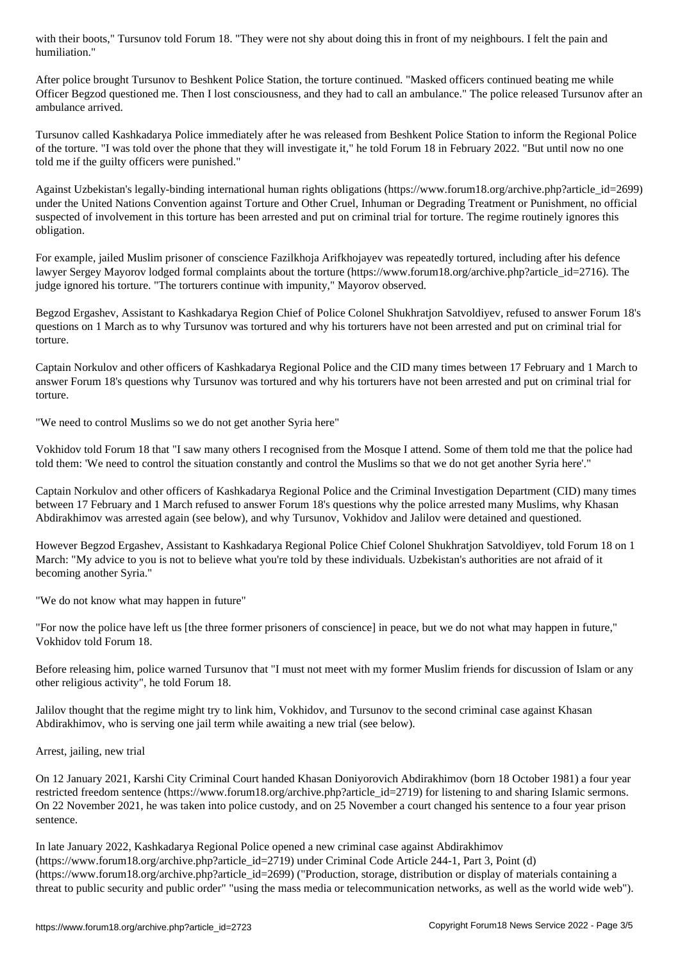After police brought Tursunov to Beshkent Police Station, the torture continued. "Masked officers continued beating me while Officer Begzod questioned me. Then I lost consciousness, and they had to call an ambulance." The police released Tursunov after an ambulance arrived.

Tursunov called Kashkadarya Police immediately after he was released from Beshkent Police Station to inform the Regional Police of the torture. "I was told over the phone that they will investigate it," he told Forum 18 in February 2022. "But until now no one told me if the guilty officers were punished."

Against Uzbekistan's legally-binding international human rights obligations (https://www.forum18.org/archive.php?article\_id=2699) under the United Nations Convention against Torture and Other Cruel, Inhuman or Degrading Treatment or Punishment, no official suspected of involvement in this torture has been arrested and put on criminal trial for torture. The regime routinely ignores this obligation.

For example, jailed Muslim prisoner of conscience Fazilkhoja Arifkhojayev was repeatedly tortured, including after his defence lawyer Sergey Mayorov lodged formal complaints about the torture (https://www.forum18.org/archive.php?article\_id=2716). The judge ignored his torture. "The torturers continue with impunity," Mayorov observed.

Begzod Ergashev, Assistant to Kashkadarya Region Chief of Police Colonel Shukhratjon Satvoldiyev, refused to answer Forum 18's questions on 1 March as to why Tursunov was tortured and why his torturers have not been arrested and put on criminal trial for torture.

Captain Norkulov and other officers of Kashkadarya Regional Police and the CID many times between 17 February and 1 March to answer Forum 18's questions why Tursunov was tortured and why his torturers have not been arrested and put on criminal trial for torture.

"We need to control Muslims so we do not get another Syria here"

Vokhidov told Forum 18 that "I saw many others I recognised from the Mosque I attend. Some of them told me that the police had told them: 'We need to control the situation constantly and control the Muslims so that we do not get another Syria here'."

Captain Norkulov and other officers of Kashkadarya Regional Police and the Criminal Investigation Department (CID) many times between 17 February and 1 March refused to answer Forum 18's questions why the police arrested many Muslims, why Khasan Abdirakhimov was arrested again (see below), and why Tursunov, Vokhidov and Jalilov were detained and questioned.

However Begzod Ergashev, Assistant to Kashkadarya Regional Police Chief Colonel Shukhratjon Satvoldiyev, told Forum 18 on 1 March: "My advice to you is not to believe what you're told by these individuals. Uzbekistan's authorities are not afraid of it becoming another Syria."

"We do not know what may happen in future"

"For now the police have left us [the three former prisoners of conscience] in peace, but we do not what may happen in future," Vokhidov told Forum 18.

Before releasing him, police warned Tursunov that "I must not meet with my former Muslim friends for discussion of Islam or any other religious activity", he told Forum 18.

Jalilov thought that the regime might try to link him, Vokhidov, and Tursunov to the second criminal case against Khasan Abdirakhimov, who is serving one jail term while awaiting a new trial (see below).

Arrest, jailing, new trial

On 12 January 2021, Karshi City Criminal Court handed Khasan Doniyorovich Abdirakhimov (born 18 October 1981) a four year restricted freedom sentence (https://www.forum18.org/archive.php?article id=2719) for listening to and sharing Islamic sermons. On 22 November 2021, he was taken into police custody, and on 25 November a court changed his sentence to a four year prison sentence.

In late January 2022, Kashkadarya Regional Police opened a new criminal case against Abdirakhimov (https://www.forum18.org/archive.php?article\_id=2719) under Criminal Code Article 244-1, Part 3, Point (d) (https://www.forum18.org/archive.php?article\_id=2699) ("Production, storage, distribution or display of materials containing a threat to public security and public order" "using the mass media or telecommunication networks, as well as the world wide web").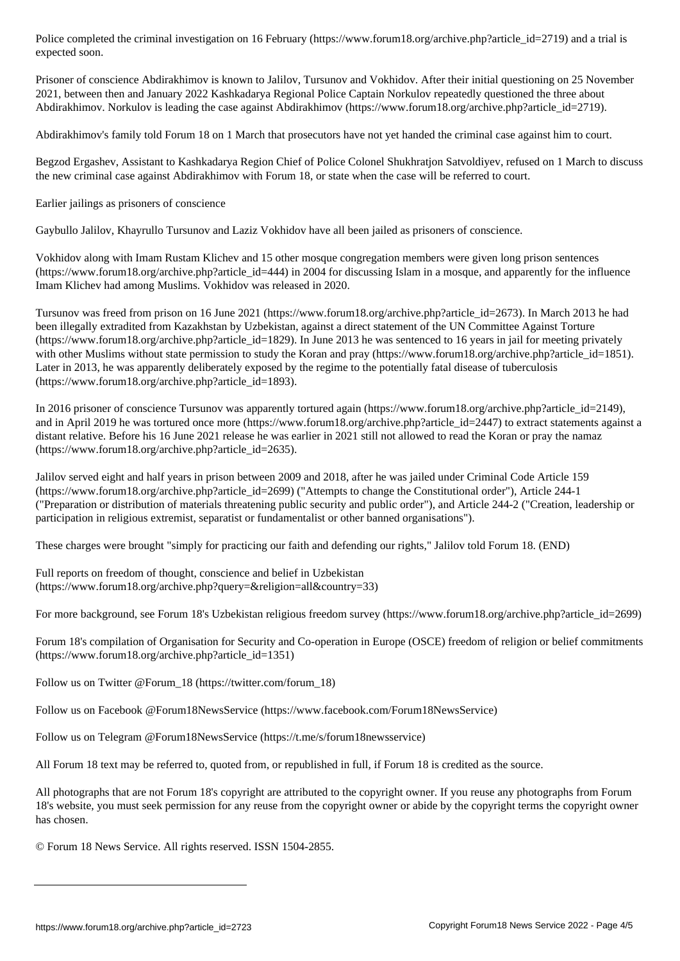Prisoner of conscience Abdirakhimov is known to Jalilov, Tursunov and Vokhidov. After their initial questioning on 25 November 2021, between then and January 2022 Kashkadarya Regional Police Captain Norkulov repeatedly questioned the three about Abdirakhimov. Norkulov is leading the case against Abdirakhimov (https://www.forum18.org/archive.php?article\_id=2719).

Abdirakhimov's family told Forum 18 on 1 March that prosecutors have not yet handed the criminal case against him to court.

Begzod Ergashev, Assistant to Kashkadarya Region Chief of Police Colonel Shukhratjon Satvoldiyev, refused on 1 March to discuss the new criminal case against Abdirakhimov with Forum 18, or state when the case will be referred to court.

Earlier jailings as prisoners of conscience

expected soon.

Gaybullo Jalilov, Khayrullo Tursunov and Laziz Vokhidov have all been jailed as prisoners of conscience.

Vokhidov along with Imam Rustam Klichev and 15 other mosque congregation members were given long prison sentences (https://www.forum18.org/archive.php?article\_id=444) in 2004 for discussing Islam in a mosque, and apparently for the influence Imam Klichev had among Muslims. Vokhidov was released in 2020.

Tursunov was freed from prison on 16 June 2021 (https://www.forum18.org/archive.php?article\_id=2673). In March 2013 he had been illegally extradited from Kazakhstan by Uzbekistan, against a direct statement of the UN Committee Against Torture (https://www.forum18.org/archive.php?article\_id=1829). In June 2013 he was sentenced to 16 years in jail for meeting privately with other Muslims without state permission to study the Koran and pray (https://www.forum18.org/archive.php?article\_id=1851). Later in 2013, he was apparently deliberately exposed by the regime to the potentially fatal disease of tuberculosis (https://www.forum18.org/archive.php?article\_id=1893).

In 2016 prisoner of conscience Tursunov was apparently tortured again (https://www.forum18.org/archive.php?article\_id=2149), and in April 2019 he was tortured once more (https://www.forum18.org/archive.php?article\_id=2447) to extract statements against a distant relative. Before his 16 June 2021 release he was earlier in 2021 still not allowed to read the Koran or pray the namaz (https://www.forum18.org/archive.php?article\_id=2635).

Jalilov served eight and half years in prison between 2009 and 2018, after he was jailed under Criminal Code Article 159 (https://www.forum18.org/archive.php?article\_id=2699) ("Attempts to change the Constitutional order"), Article 244-1 ("Preparation or distribution of materials threatening public security and public order"), and Article 244-2 ("Creation, leadership or participation in religious extremist, separatist or fundamentalist or other banned organisations").

These charges were brought "simply for practicing our faith and defending our rights," Jalilov told Forum 18. (END)

Full reports on freedom of thought, conscience and belief in Uzbekistan (https://www.forum18.org/archive.php?query=&religion=all&country=33)

For more background, see Forum 18's Uzbekistan religious freedom survey (https://www.forum18.org/archive.php?article\_id=2699)

Forum 18's compilation of Organisation for Security and Co-operation in Europe (OSCE) freedom of religion or belief commitments (https://www.forum18.org/archive.php?article\_id=1351)

Follow us on Twitter @Forum\_18 (https://twitter.com/forum\_18)

Follow us on Facebook @Forum18NewsService (https://www.facebook.com/Forum18NewsService)

Follow us on Telegram @Forum18NewsService (https://t.me/s/forum18newsservice)

All Forum 18 text may be referred to, quoted from, or republished in full, if Forum 18 is credited as the source.

All photographs that are not Forum 18's copyright are attributed to the copyright owner. If you reuse any photographs from Forum 18's website, you must seek permission for any reuse from the copyright owner or abide by the copyright terms the copyright owner has chosen.

© Forum 18 News Service. All rights reserved. ISSN 1504-2855.